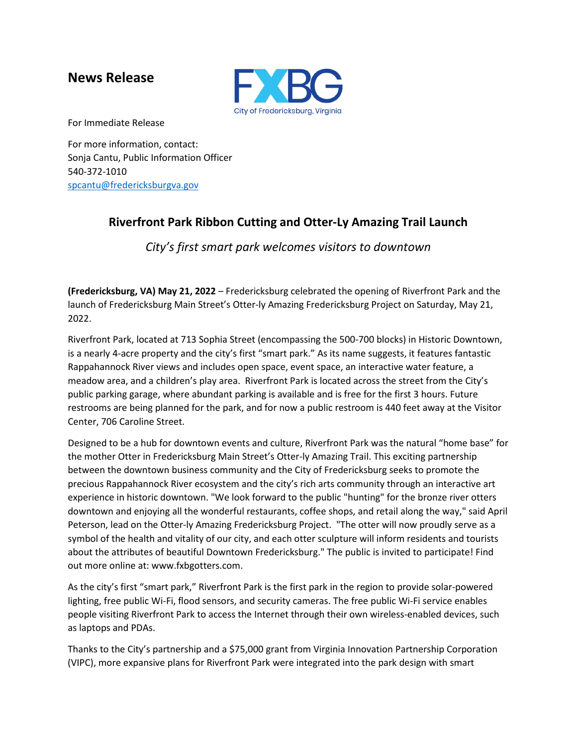## **News Release**



For Immediate Release

For more information, contact: Sonja Cantu, Public Information Officer 540-372-1010 [spcantu@fredericksburgva.gov](mailto:spcantu@fredericksburgva.gov)

## **Riverfront Park Ribbon Cutting and Otter-Ly Amazing Trail Launch**

*City's first smart park welcomes visitors to downtown*

**(Fredericksburg, VA) May 21, 2022** – Fredericksburg celebrated the opening of Riverfront Park and the launch of Fredericksburg Main Street's Otter-ly Amazing Fredericksburg Project on Saturday, May 21, 2022.

Riverfront Park, located at 713 Sophia Street (encompassing the 500-700 blocks) in Historic Downtown, is a nearly 4-acre property and the city's first "smart park." As its name suggests, it features fantastic Rappahannock River views and includes open space, event space, an interactive water feature, a meadow area, and a children's play area. Riverfront Park is located across the street from the City's public parking garage, where abundant parking is available and is free for the first 3 hours. Future restrooms are being planned for the park, and for now a public restroom is 440 feet away at the Visitor Center, 706 Caroline Street.

Designed to be a hub for downtown events and culture, Riverfront Park was the natural "home base" for the mother Otter in Fredericksburg Main Street's Otter-ly Amazing Trail. This exciting partnership between the downtown business community and the City of Fredericksburg seeks to promote the precious Rappahannock River ecosystem and the city's rich arts community through an interactive art experience in historic downtown. "We look forward to the public "hunting" for the bronze river otters downtown and enjoying all the wonderful restaurants, coffee shops, and retail along the way," said April Peterson, lead on the Otter-ly Amazing Fredericksburg Project. "The otter will now proudly serve as a symbol of the health and vitality of our city, and each otter sculpture will inform residents and tourists about the attributes of beautiful Downtown Fredericksburg." The public is invited to participate! Find out more online at: www.fxbgotters.com.

As the city's first "smart park," Riverfront Park is the first park in the region to provide solar-powered lighting, free public Wi-Fi, flood sensors, and security cameras. The free public Wi-Fi service enables people visiting Riverfront Park to access the Internet through their own wireless-enabled devices, such as laptops and PDAs.

Thanks to the City's partnership and a \$75,000 grant from Virginia Innovation Partnership Corporation (VIPC), more expansive plans for Riverfront Park were integrated into the park design with smart